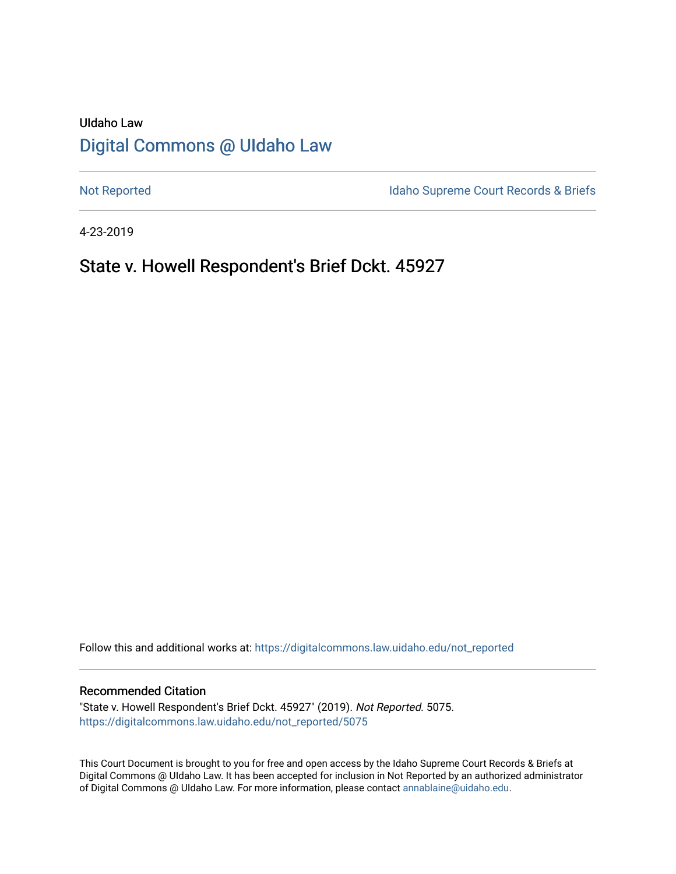# UIdaho Law [Digital Commons @ UIdaho Law](https://digitalcommons.law.uidaho.edu/)

[Not Reported](https://digitalcommons.law.uidaho.edu/not_reported) **Idaho Supreme Court Records & Briefs** 

4-23-2019

## State v. Howell Respondent's Brief Dckt. 45927

Follow this and additional works at: [https://digitalcommons.law.uidaho.edu/not\\_reported](https://digitalcommons.law.uidaho.edu/not_reported?utm_source=digitalcommons.law.uidaho.edu%2Fnot_reported%2F5075&utm_medium=PDF&utm_campaign=PDFCoverPages) 

#### Recommended Citation

"State v. Howell Respondent's Brief Dckt. 45927" (2019). Not Reported. 5075. [https://digitalcommons.law.uidaho.edu/not\\_reported/5075](https://digitalcommons.law.uidaho.edu/not_reported/5075?utm_source=digitalcommons.law.uidaho.edu%2Fnot_reported%2F5075&utm_medium=PDF&utm_campaign=PDFCoverPages)

This Court Document is brought to you for free and open access by the Idaho Supreme Court Records & Briefs at Digital Commons @ UIdaho Law. It has been accepted for inclusion in Not Reported by an authorized administrator of Digital Commons @ UIdaho Law. For more information, please contact [annablaine@uidaho.edu](mailto:annablaine@uidaho.edu).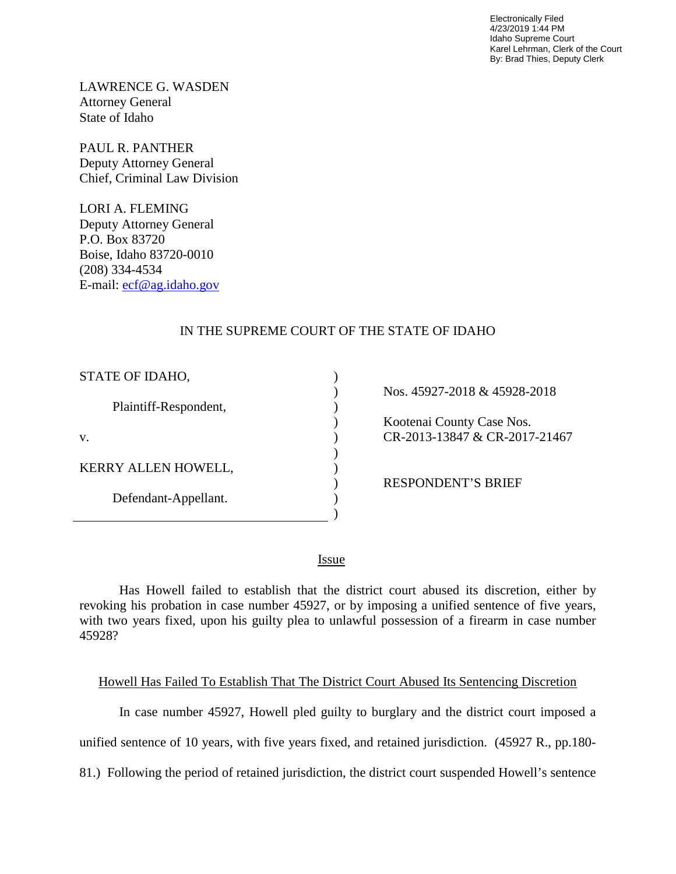Electronically Filed 4/23/2019 1:44 PM Idaho Supreme Court Karel Lehrman, Clerk of the Court By: Brad Thies, Deputy Clerk

LAWRENCE G. WASDEN Attorney General State of Idaho

PAUL R. PANTHER Deputy Attorney General Chief, Criminal Law Division

LORI A. FLEMING Deputy Attorney General P.O. Box 83720 Boise, Idaho 83720-0010 (208) 334-4534 E-mail: [ecf@ag.idaho.gov](mailto:ecf@ag.idaho.gov) 

## IN THE SUPREME COURT OF THE STATE OF IDAHO

 $\mathcal{L}$  $\lambda$  $\lambda$  $\mathcal{L}$  $\mathcal{L}$ ) )  $\lambda$ ) )

| STATE OF IDAHO,       |
|-----------------------|
| Plaintiff-Respondent, |
| V.                    |
| KERRY ALLEN HOWELL,   |
| Defendant-Appellant.  |
|                       |

Nos. 45927-2018 & 45928-2018

 Kootenai County Case Nos. CR-2013-13847 & CR-2017-21467

RESPONDENT'S BRIEF

<u>Issue</u>

Has Howell failed to establish that the district court abused its discretion, either by revoking his probation in case number 45927, or by imposing a unified sentence of five years, with two years fixed, upon his guilty plea to unlawful possession of a firearm in case number 45928?

### Howell Has Failed To Establish That The District Court Abused Its Sentencing Discretion

In case number 45927, Howell pled guilty to burglary and the district court imposed a

unified sentence of 10 years, with five years fixed, and retained jurisdiction. (45927 R., pp.180-

81.) Following the period of retained jurisdiction, the district court suspended Howell's sentence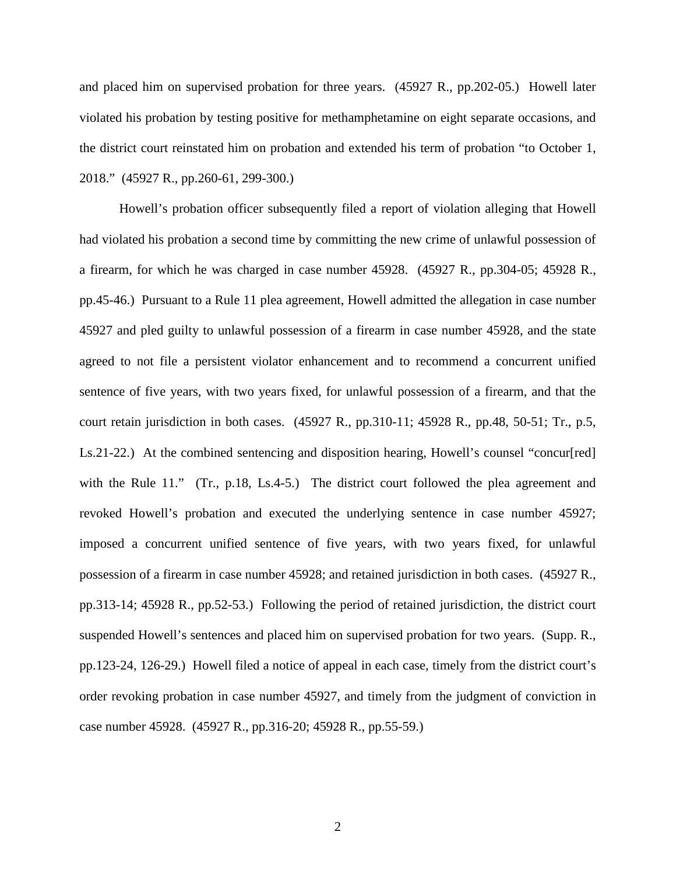and placed him on supervised probation for three years. (45927 R., pp.202-05.) Howell later violated his probation by testing positive for methamphetamine on eight separate occasions, and the district court reinstated him on probation and extended his term of probation "to October 1, 2018." (45927 R., pp.260-61, 299-300.)

Howell's probation officer subsequently filed a report of violation alleging that Howell had violated his probation a second time by committing the new crime of unlawful possession of a firearm, for which he was charged in case number 45928. (45927 R., pp.304-05; 45928 R., pp.45-46.) Pursuant to a Rule 11 plea agreement, Howell admitted the allegation in case number 45927 and pled guilty to unlawful possession of a firearm in case number 45928, and the state agreed to not file a persistent violator enhancement and to recommend a concurrent unified sentence of five years, with two years fixed, for unlawful possession of a firearm, and that the court retain jurisdiction in both cases. (45927 R., pp.310-11; 45928 R., pp.48, 50-51; Tr., p.5, Ls.21-22.) At the combined sentencing and disposition hearing, Howell's counsel "concur[red] with the Rule 11." (Tr., p.18, Ls.4-5.) The district court followed the plea agreement and revoked Howell's probation and executed the underlying sentence in case number 45927; imposed a concurrent unified sentence of five years, with two years fixed, for unlawful possession of a firearm in case number 45928; and retained jurisdiction in both cases. (45927 R., pp.313-14; 45928 R., pp.52-53.) Following the period of retained jurisdiction, the district court suspended Howell's sentences and placed him on supervised probation for two years. (Supp. R., pp.123-24, 126-29.) Howell filed a notice of appeal in each case, timely from the district court's order revoking probation in case number 45927, and timely from the judgment of conviction in case number 45928. (45927 R., pp.316-20; 45928 R., pp.55-59.)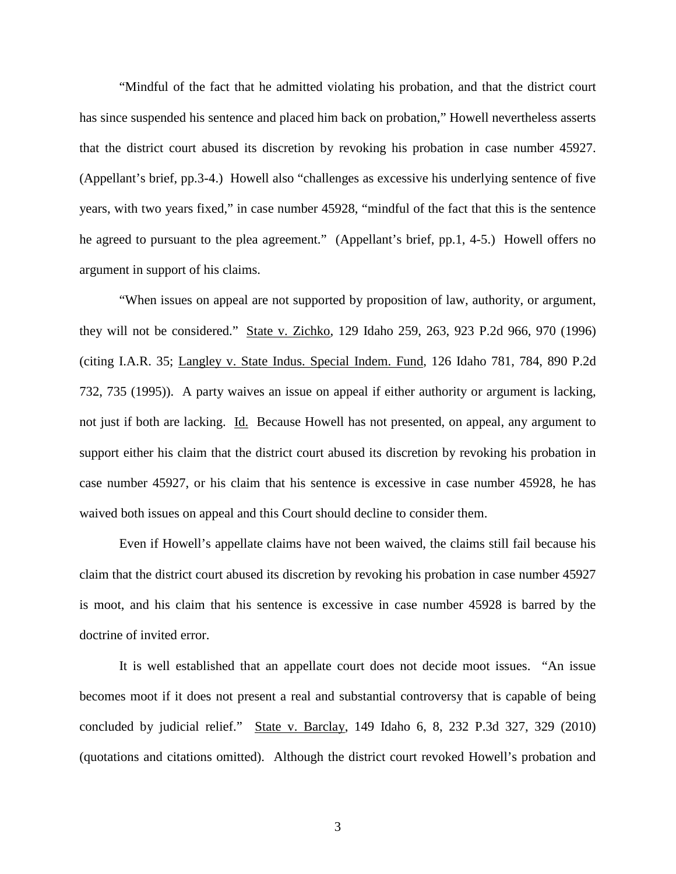"Mindful of the fact that he admitted violating his probation, and that the district court has since suspended his sentence and placed him back on probation," Howell nevertheless asserts that the district court abused its discretion by revoking his probation in case number 45927. (Appellant's brief, pp.3-4.) Howell also "challenges as excessive his underlying sentence of five years, with two years fixed," in case number 45928, "mindful of the fact that this is the sentence he agreed to pursuant to the plea agreement." (Appellant's brief, pp.1, 4-5.) Howell offers no argument in support of his claims.

"When issues on appeal are not supported by proposition of law, authority, or argument, they will not be considered." State v. Zichko, 129 Idaho 259, 263, 923 P.2d 966, 970 (1996) (citing I.A.R. 35; Langley v. State Indus. Special Indem. Fund, 126 Idaho 781, 784, 890 P.2d 732, 735 (1995)). A party waives an issue on appeal if either authority or argument is lacking, not just if both are lacking. Id. Because Howell has not presented, on appeal, any argument to support either his claim that the district court abused its discretion by revoking his probation in case number 45927, or his claim that his sentence is excessive in case number 45928, he has waived both issues on appeal and this Court should decline to consider them.

Even if Howell's appellate claims have not been waived, the claims still fail because his claim that the district court abused its discretion by revoking his probation in case number 45927 is moot, and his claim that his sentence is excessive in case number 45928 is barred by the doctrine of invited error.

It is well established that an appellate court does not decide moot issues. "An issue becomes moot if it does not present a real and substantial controversy that is capable of being concluded by judicial relief." State v. Barclay, 149 Idaho 6, 8, 232 P.3d 327, 329 (2010) (quotations and citations omitted). Although the district court revoked Howell's probation and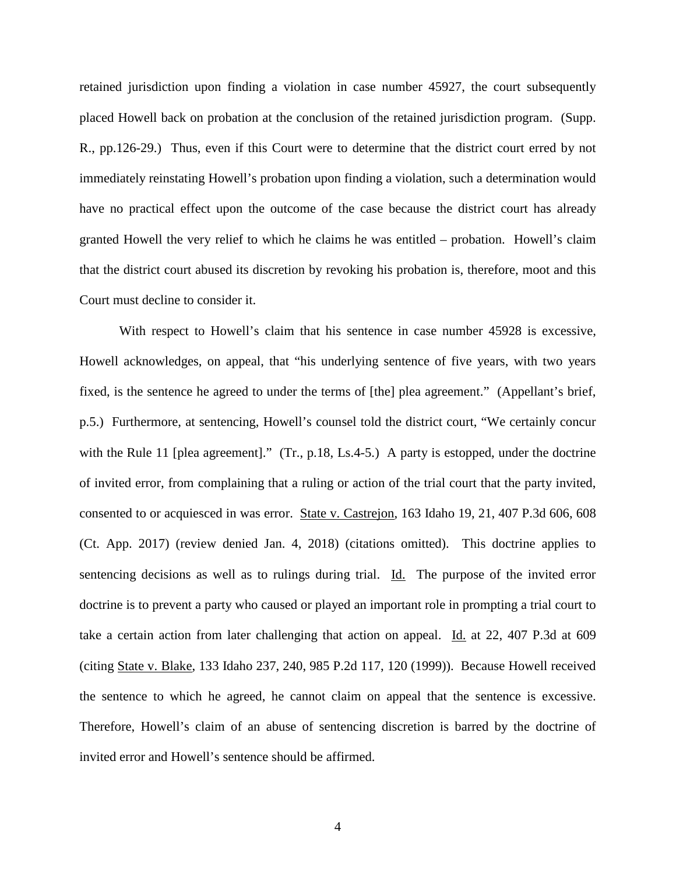retained jurisdiction upon finding a violation in case number 45927, the court subsequently placed Howell back on probation at the conclusion of the retained jurisdiction program. (Supp. R., pp.126-29.) Thus, even if this Court were to determine that the district court erred by not immediately reinstating Howell's probation upon finding a violation, such a determination would have no practical effect upon the outcome of the case because the district court has already granted Howell the very relief to which he claims he was entitled – probation. Howell's claim that the district court abused its discretion by revoking his probation is, therefore, moot and this Court must decline to consider it.

With respect to Howell's claim that his sentence in case number 45928 is excessive, Howell acknowledges, on appeal, that "his underlying sentence of five years, with two years fixed, is the sentence he agreed to under the terms of [the] plea agreement." (Appellant's brief, p.5.) Furthermore, at sentencing, Howell's counsel told the district court, "We certainly concur with the Rule 11 [plea agreement]." (Tr., p.18, Ls.4-5.) A party is estopped, under the doctrine of invited error, from complaining that a ruling or action of the trial court that the party invited, consented to or acquiesced in was error. State v. Castrejon, 163 Idaho 19, 21, 407 P.3d 606, 608 (Ct. App. 2017) (review denied Jan. 4, 2018) (citations omitted). This doctrine applies to sentencing decisions as well as to rulings during trial. Id. The purpose of the invited error doctrine is to prevent a party who caused or played an important role in prompting a trial court to take a certain action from later challenging that action on appeal. Id. at 22, 407 P.3d at 609 (citing State v. Blake, 133 Idaho 237, 240, 985 P.2d 117, 120 (1999)). Because Howell received the sentence to which he agreed, he cannot claim on appeal that the sentence is excessive. Therefore, Howell's claim of an abuse of sentencing discretion is barred by the doctrine of invited error and Howell's sentence should be affirmed.